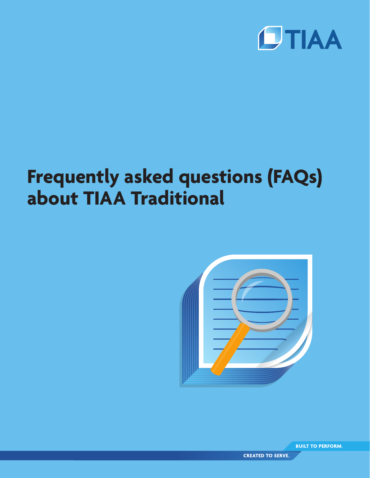

# **Frequently asked questions (FAQs) about TIAA Traditional**



**BUILT TO PERFORM.** 

**CREATED TO SERVE.**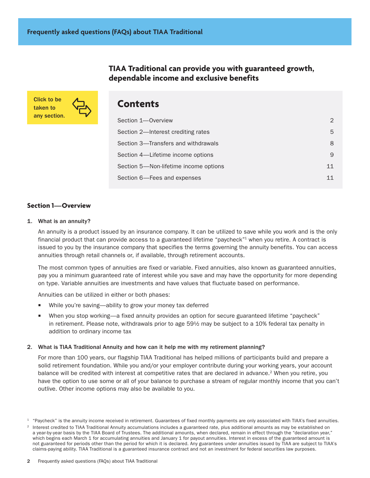**TIAA Traditional can provide you with guaranteed growth, dependable income and exclusive benefits**

Click to be taken to any section.



# **Contents**

| Section 1-Overview                    |    |
|---------------------------------------|----|
| Section 2—Interest crediting rates    | 5. |
| Section 3—Transfers and withdrawals   | 8  |
| Section 4—Lifetime income options     | 9  |
| Section 5-Non-lifetime income options | 11 |
| Section 6—Fees and expenses           | 11 |

# **Section 1—Overview**

# 1. What is an annuity?

An annuity is a product issued by an insurance company. It can be utilized to save while you work and is the only financial product that can provide access to a guaranteed lifetime "paycheck"<sup>1</sup> when you retire. A contract is issued to you by the insurance company that specifies the terms governing the annuity benefits. You can access annuities through retail channels or, if available, through retirement accounts.

The most common types of annuities are fixed or variable. Fixed annuities, also known as guaranteed annuities, pay you a minimum guaranteed rate of interest while you save and may have the opportunity for more depending on type. Variable annuities are investments and have values that fluctuate based on performance.

Annuities can be utilized in either or both phases:

- While you're saving—ability to grow your money tax deferred
- When you stop working—a fixed annuity provides an option for secure guaranteed lifetime "paycheck" in retirement. Please note, withdrawals prior to age 591/2 may be subject to a 10% federal tax penalty in addition to ordinary income tax

# 2. What is TIAA Traditional Annuity and how can it help me with my retirement planning?

For more than 100 years, our flagship TIAA Traditional has helped millions of participants build and prepare a solid retirement foundation. While you and/or your employer contribute during your working years, your account balance will be credited with interest at competitive rates that are declared in advance.<sup>2</sup> When you retire, you have the option to use some or all of your balance to purchase a stream of regular monthly income that you can't outlive. Other income options may also be available to you.

 $1$  "Paycheck" is the annuity income received in retirement. Guarantees of fixed monthly payments are only associated with TIAA's fixed annuities.

<sup>2</sup> Interest credited to TIAA Traditional Annuity accumulations includes a guaranteed rate, plus additional amounts as may be established on a year-by-year basis by the TIAA Board of Trustees. The additional amounts, when declared, remain in effect through the "declaration year," which begins each March 1 for accumulating annuities and January 1 for payout annuities. Interest in excess of the guaranteed amount is not guaranteed for periods other than the period for which it is declared. Any guarantees under annuities issued by TIAA are subject to TIAA's claims-paying ability. TIAA Traditional is a guaranteed insurance contract and not an investment for federal securities law purposes.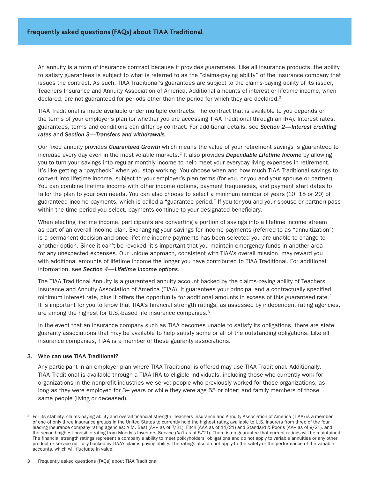An annuity is a form of insurance contract because it provides guarantees. Like all insurance products, the ability to satisfy guarantees is subject to what is referred to as the "claims-paying ability" of the insurance company that issues the contract. As such, TIAA Traditional's guarantees are subject to the claims-paying ability of its issuer, Teachers Insurance and Annuity Association of America. Additional amounts of interest or lifetime income, when declared, are not guaranteed for periods other than the period for which they are declared.<sup>2</sup>

TIAA Traditional is made available under multiple contracts. The contract that is available to you depends on the terms of your employer's plan (or whether you are accessing TIAA Traditional through an IRA). Interest rates, guarantees, terms and conditions can differ by contract. For additional details, see *Section 2—Interest crediting rates* and *Section 3—Transfers and withdrawals*.

Our fixed annuity provides *Guaranteed Growth* which means the value of your retirement savings is guaranteed to increase every day even in the most volatile markets.2 It also provides *Dependable Lifetime Income* by allowing you to turn your savings into regular monthly income to help meet your everyday living expenses in retirement. It's like getting a "paycheck" when you stop working. You choose when and how much TIAA Traditional savings to convert into lifetime income, subject to your employer's plan terms (for you, or you and your spouse or partner). You can combine lifetime income with other income options, payment frequencies, and payment start dates to tailor the plan to your own needs. You can also choose to select a minimum number of years (10, 15 or 20) of guaranteed income payments, which is called a "guarantee period." If you (or you and your spouse or partner) pass within the time period you select, payments continue to your designated beneficiary.

When electing lifetime income, participants are converting a portion of savings into a lifetime income stream as part of an overall income plan. Exchanging your savings for income payments (referred to as "annuitization") is a permanent decision and once lifetime income payments has been selected you are unable to change to another option. Since it can't be revoked, it's important that you maintain emergency funds in another area for any unexpected expenses. Our unique approach, consistent with TIAA's overall mission, may reward you with additional amounts of lifetime income the longer you have contributed to TIAA Traditional. For additional information, see *Section 4—Lifetime income options*.

The TIAA Traditional Annuity is a guaranteed annuity account backed by the claims-paying ability of Teachers Insurance and Annuity Association of America (TIAA). It guarantees your principal and a contractually specified minimum interest rate, plus it offers the opportunity for additional amounts in excess of this guaranteed rate. $2$ It is important for you to know that TIAA's financial strength ratings, as assessed by independent rating agencies, are among the highest for U.S.-based life insurance companies.3

In the event that an insurance company such as TIAA becomes unable to satisfy its obligations, there are state guaranty associations that may be available to help satisfy some or all of the outstanding obligations. Like all insurance companies, TIAA is a member of these guaranty associations.

# 3. Who can use TIAA Traditional?

Any participant in an employer plan where TIAA Traditional is offered may use TIAA Traditional. Additionally, TIAA Traditional is available through a TIAA IRA to eligible individuals, including those who currently work for organizations in the nonprofit industries we serve; people who previously worked for those organizations, as long as they were employed for 3+ years or while they were age 55 or older; and family members of those same people (living or deceased).

<sup>&</sup>lt;sup>3</sup> For its stability, claims-paying ability and overall financial strength, Teachers Insurance and Annuity Association of America (TIAA) is a member of one of only three insurance groups in the United States to currently hold the highest rating available to U.S. insurers from three of the four leading insurance company rating agencies: A.M. Best (A++ as of 7/21), Fitch (AAA as of 11/21) and Standard & Poor's (AA+ as of 9/21), and the second highest possible rating from Moody's Investors Service (Aa1 as of 5/21). There is no guarantee that current ratings will be maintained. The financial strength ratings represent a company's ability to meet policyholders' obligations and do not apply to variable annuities or any other product or service not fully backed by TIAA's claims-paying ability. The ratings also do not apply to the safety or the performance of the variable accounts, which will fluctuate in value.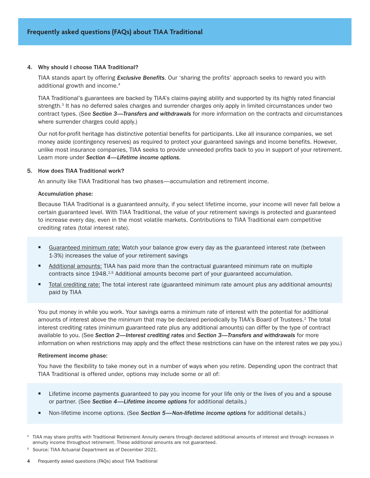#### 4. Why should I choose TIAA Traditional?

TIAA stands apart by offering *Exclusive Benefits*. Our 'sharing the profits' approach seeks to reward you with additional growth and income.<sup>4</sup>

TIAA Traditional's guarantees are backed by TIAA's claims-paying ability and supported by its highly rated financial strength.<sup>3</sup> It has no deferred sales charges and surrender charges only apply in limited circumstances under two contract types. (See *Section 3—Transfers and withdrawals* for more information on the contracts and circumstances where surrender charges could apply.)

Our not-for-profit heritage has distinctive potential benefits for participants. Like all insurance companies, we set money aside (contingency reserves) as required to protect your guaranteed savings and income benefits. However, unlike most insurance companies, TIAA seeks to provide unneeded profits back to you in support of your retirement. Learn more under *Section 4—Lifetime income options*.

#### 5. How does TIAA Traditional work?

An annuity like TIAA Traditional has two phases—accumulation and retirement income.

#### Accumulation phase:

Because TIAA Traditional is a guaranteed annuity, if you select lifetime income, your income will never fall below a certain guaranteed level. With TIAA Traditional, the value of your retirement savings is protected and guaranteed to increase every day, even in the most volatile markets. Contributions to TIAA Traditional earn competitive crediting rates (total interest rate).

- **Example 2** Guaranteed minimum rate: Watch your balance grow every day as the guaranteed interest rate (between 1-3%) increases the value of your retirement savings
- Additional amounts: TIAA has paid more than the contractual guaranteed minimum rate on multiple contracts since 1948.<sup>2,5</sup> Additional amounts become part of your guaranteed accumulation.
- Total crediting rate: The total interest rate (guaranteed minimum rate amount plus any additional amounts) paid by TIAA

You put money in while you work. Your savings earns a minimum rate of interest with the potential for additional amounts of interest above the minimum that may be declared periodically by TIAA's Board of Trustees.<sup>2</sup> The total interest crediting rates (minimum guaranteed rate plus any additional amounts) can differ by the type of contract available to you. (See *Section 2—Interest crediting rates* and *Section 3—Transfers and withdrawals* for more information on when restrictions may apply and the effect these restrictions can have on the interest rates we pay you.)

#### Retirement income phase:

You have the flexibility to take money out in a number of ways when you retire. Depending upon the contract that TIAA Traditional is offered under, options may include some or all of:

- **EXTER** Lifetime income payments guaranteed to pay you income for your life only or the lives of you and a spouse or partner. (See *Section 4—Lifetime income options* for additional details.)
- W Non-lifetime income options. (See *Section 5—Non-lifetime income options* for additional details.)

<sup>5</sup> Source: TIAA Actuarial Department as of December 2021.

TIAA may share profits with Traditional Retirement Annuity owners through declared additional amounts of interest and through increases in annuity income throughout retirement. These additional amounts are not guaranteed.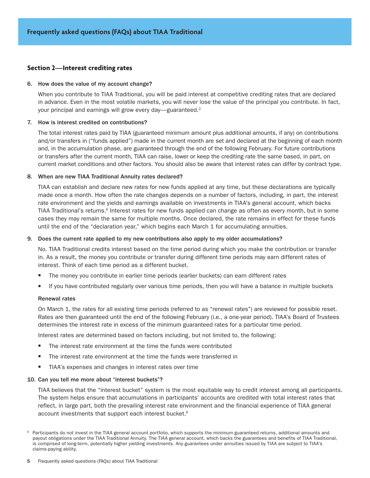# <span id="page-4-0"></span>**Section 2—Interest crediting rates**

#### 6. How does the value of my account change?

When you contribute to TIAA Traditional, you will be paid interest at competitive crediting rates that are declared in advance. Even in the most volatile markets, you will never lose the value of the principal you contribute. In fact, your principal and earnings will grow every day—guaranteed.<sup>2</sup>

#### 7. How is interest credited on contributions?

The total interest rates paid by TIAA (guaranteed minimum amount plus additional amounts, if any) on contributions and/or transfers in ("funds applied") made in the current month are set and declared at the beginning of each month and, in the accumulation phase, are guaranteed through the end of the following February. For future contributions or transfers after the current month, TIAA can raise, lower or keep the crediting rate the same based, in part, on current market conditions and other factors. You should also be aware that interest rates can differ by contract type.

#### 8. When are new TIAA Traditional Annuity rates declared?

TIAA can establish and declare new rates for new funds applied at any time, but these declarations are typically made once a month. How often the rate changes depends on a number of factors, including, in part, the interest rate environment and the yields and earnings available on investments in TIAA's general account, which backs TIAA Traditional's returns.<sup>6</sup> Interest rates for new funds applied can change as often as every month, but in some cases they may remain the same for multiple months. Once declared, the rate remains in effect for these funds until the end of the "declaration year," which begins each March 1 for accumulating annuities.

#### 9. Does the current rate applied to my new contributions also apply to my older accumulations?

No. TIAA Traditional credits interest based on the time period during which you make the contribution or transfer in. As a result, the money you contribute or transfer during different time periods may earn different rates of interest. Think of each time period as a different bucket.

- The money you contribute in earlier time periods (earlier buckets) can earn different rates
- If you have contributed regularly over various time periods, then you will have a balance in multiple buckets

#### Renewal rates

On March 1, the rates for all existing time periods (referred to as "renewal rates") are reviewed for possible reset. Rates are then guaranteed until the end of the following February (i.e., a one-year period). TIAA's Board of Trustees determines the interest rate in excess of the minimum guaranteed rates for a particular time period.

Interest rates are determined based on factors including, but not limited to, the following:

- The interest rate environment at the time the funds were contributed
- The interest rate environment at the time the funds were transferred in
- TIAA's expenses and changes in interest rates over time

#### 10. Can you tell me more about "interest buckets"?

TIAA believes that the "interest bucket" system is the most equitable way to credit interest among all participants. The system helps ensure that accumulations in participants' accounts are credited with total interest rates that reflect, in large part, both the prevailing interest rate environment and the financial experience of TIAA general account investments that support each interest bucket.<sup>6</sup>

<sup>&</sup>lt;sup>6</sup> Participants do not invest in the TIAA general account portfolio, which supports the minimum guaranteed returns, additional amounts and payout obligations under the TIAA Traditional Annuity. The TIAA general account, which backs the guarantees and benefits of TIAA Traditional, is comprised of long-term, potentially higher yielding investments. Any guarantees under annuities issued by TIAA are subject to TIAA's claims-paying ability.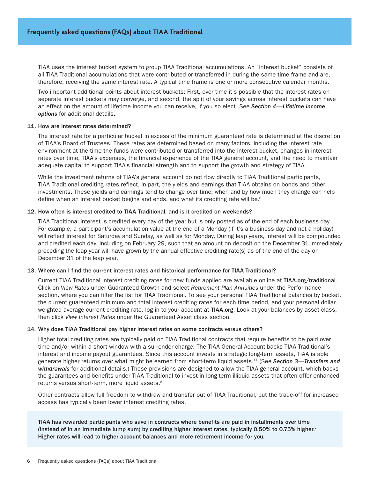TIAA uses the interest bucket system to group TIAA Traditional accumulations. An "interest bucket" consists of all TIAA Traditional accumulations that were contributed or transferred in during the same time frame and are, therefore, receiving the same interest rate. A typical time frame is one or more consecutive calendar months.

Two important additional points about interest buckets: First, over time it's possible that the interest rates on separate interest buckets may converge, and second, the split of your savings across interest buckets can have an effect on the amount of lifetime income you can receive, if you so elect. See *Section 4—Lifetime income options* for additional details.

#### 11. How are interest rates determined?

The interest rate for a particular bucket in excess of the minimum guaranteed rate is determined at the discretion of TIAA's Board of Trustees. These rates are determined based on many factors, including the interest rate environment at the time the funds were contributed or transferred into the interest bucket, changes in interest rates over time, TIAA's expenses, the financial experience of the TIAA general account, and the need to maintain adequate capital to support TIAA's financial strength and to support the growth and strategy of TIAA.

While the investment returns of TIAA's general account do not flow directly to TIAA Traditional participants, TIAA Traditional crediting rates reflect, in part, the yields and earnings that TIAA obtains on bonds and other investments. These yields and earnings tend to change over time; when and by how much they change can help define when an interest bucket begins and ends, and what its crediting rate will be.<sup>6</sup>

#### 12. How often is interest credited to TIAA Traditional, and is it credited on weekends?

TIAA Traditional interest is credited every day of the year but is only posted as of the end of each business day. For example, a participant's accumulation value at the end of a Monday (if it's a business day and not a holiday) will reflect interest for Saturday and Sunday, as well as for Monday. During leap years, interest will be compounded and credited each day, including on February 29, such that an amount on deposit on the December 31 immediately preceding the leap year will have grown by the annual effective crediting rate(s) as of the end of the day on December 31 of the leap year.

# 13. Where can I find the current interest rates and historical performance for TIAA Traditional?

Current TIAA Traditional interest crediting rates for new funds applied are available online at [TIAA.org/traditional](http://TIAA.org/traditional). Click on *View Rates* under Guaranteed Growth and select *Retirement Plan Annuities* under the Performance section, where you can filter the list for TIAA Traditional. To see your personal TIAA Traditional balances by bucket, the current guaranteed minimum and total interest crediting rates for each time period, and your personal dollar weighted average current crediting rate, log in to your account at TIAA.org. Look at your balances by asset class, then click *View Interest Rates* under the Guaranteed Asset class section.

#### 14. Why does TIAA Traditional pay higher interest rates on some contracts versus others?

Higher total crediting rates are typically paid on TIAA Traditional contracts that require benefits to be paid over time and/or within a short window with a surrender charge. The TIAA General Account backs TIAA Traditional's interest and income payout guarantees. Since this account invests in strategic long-term assets, TIAA is able generate higher returns over what might be earned from short-term liquid assets.11 (See *Section 3—Transfers and withdrawals* for additional details.) These provisions are designed to allow the TIAA general account, which backs the guarantees and benefits under TIAA Traditional to invest in long-term illiquid assets that often offer enhanced returns versus short-term, more liquid assets.<sup>6</sup>

Other contracts allow full freedom to withdraw and transfer out of TIAA Traditional, but the trade-off for increased access has typically been lower interest crediting rates.

TIAA has rewarded participants who save in contracts where benefits are paid in installments over time (instead of in an immediate lump sum) by crediting higher interest rates, typically 0.50% to 0.75% higher.<sup>7</sup> Higher rates will lead to higher account balances and more retirement income for you.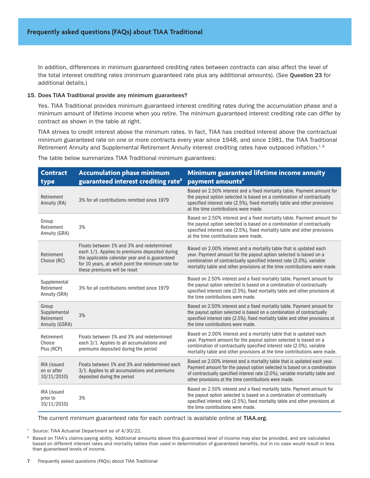In addition, differences in minimum guaranteed crediting rates between contracts can also affect the level of the total interest crediting rates (minimum guaranteed rate plus any additional amounts). (See Question 23 for additional details.)

#### 15. Does TIAA Traditional provide any minimum guarantees?

Yes. TIAA Traditional provides minimum guaranteed interest crediting rates during the accumulation phase and a minimum amount of lifetime income when you retire. The minimum guaranteed interest crediting rate can differ by contract as shown in the table at right.

TIAA strives to credit interest above the minimum rates. In fact, TIAA has credited interest above the contractual minimum guaranteed rate on one or more contracts every year since 1948, and since 1981, the TIAA Traditional Retirement Annuity and Supplemental Retirement Annuity interest crediting rates have outpaced inflation.<sup>7, 8</sup>

The table below summarizes TIAA Traditional minimum guarantees:

| <b>Contract</b><br>type                               | <b>Accumulation phase minimum</b><br>guaranteed interest crediting rate <sup>8</sup>                                                                                                                                               | Minimum guaranteed lifetime income annuity<br>payment amounts <sup>8</sup>                                                                                                                                                                                                                    |
|-------------------------------------------------------|------------------------------------------------------------------------------------------------------------------------------------------------------------------------------------------------------------------------------------|-----------------------------------------------------------------------------------------------------------------------------------------------------------------------------------------------------------------------------------------------------------------------------------------------|
| Retirement<br>Annuity (RA)                            | 3% for all contributions remitted since 1979                                                                                                                                                                                       | Based on 2.50% interest and a fixed mortality table. Payment amount for<br>the payout option selected is based on a combination of contractually<br>specified interest rate (2.5%), fixed mortality table and other provisions<br>at the time contributions were made.                        |
| Group<br>Retirement<br>Annuity (GRA)                  | 3%                                                                                                                                                                                                                                 | Based on 2.50% interest and a fixed mortality table. Payment amount for<br>the payout option selected is based on a combination of contractually<br>specified interest rate (2.5%), fixed mortality table and other provisions<br>at the time contributions were made.                        |
| Retirement<br>Choice (RC)                             | Floats between 1% and 3% and redetermined<br>each 1/1. Applies to premiums deposited during<br>the applicable calendar year and is guaranteed<br>for 10 years, at which point the minimum rate for<br>these premiums will be reset | Based on 2.00% interest and a mortality table that is updated each<br>year. Payment amount for the payout option selected is based on a<br>combination of contractually specified interest rate (2.0%), variable<br>mortality table and other provisions at the time contributions were made. |
| Supplemental<br>Retirement<br>Annuity (SRA)           | 3% for all contributions remitted since 1979                                                                                                                                                                                       | Based on 2.50% interest and a fixed mortality table. Payment amount for<br>the payout option selected is based on a combination of contractually<br>specified interest rate (2.5%), fixed mortality table and other provisions at<br>the time contributions were made.                        |
| Group<br>Supplemental<br>Retirement<br>Annuity (GSRA) | 3%                                                                                                                                                                                                                                 | Based on 2.50% interest and a fixed mortality table. Payment amount for<br>the payout option selected is based on a combination of contractually<br>specified interest rate (2.5%), fixed mortality table and other provisions at<br>the time contributions were made.                        |
| Retirement<br>Choice<br>Plus (RCP)                    | Floats between 1% and 3% and redetermined<br>each 3/1. Applies to all accumulations and<br>premiums deposited during the period                                                                                                    | Based on 2.00% interest and a mortality table that is updated each<br>year. Payment amount for the payout option selected is based on a<br>combination of contractually specified interest rate (2.0%), variable<br>mortality table and other provisions at the time contributions were made. |
| IRA (issued<br>on or after<br>10/11/2010              | Floats between 1% and 3% and redetermined each<br>3/1. Applies to all accumulations and premiums<br>deposited during the period                                                                                                    | Based on 2.00% interest and a mortality table that is updated each year.<br>Payment amount for the payout option selected is based on a combination<br>of contractually specified interest rate (2.0%), variable mortality table and<br>other provisions at the time contributions were made. |
| IRA (issued<br>prior to<br>10/11/2010                 | 3%                                                                                                                                                                                                                                 | Based on 2.50% interest and a fixed mortality table. Payment amount for<br>the payout option selected is based on a combination of contractually<br>specified interest rate (2.5%), fixed mortality table and other provisions at<br>the time contributions were made.                        |

The current minimum guaranteed rate for each contract is available online at TIAA.org.

<sup>7</sup> Source: TIAA Actuarial Department as of 4/30/22.

<sup>8</sup> Based on TIAA's claims-paying ability. Additional amounts above this guaranteed level of income may also be provided, and are calculated based on different interest rates and mortality tables than used in determination of guaranteed benefits, but in no case would result in less than guaranteed levels of income.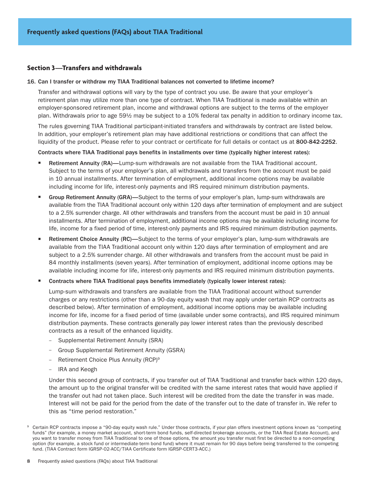# <span id="page-7-0"></span>**Section 3—Transfers and withdrawals**

#### 16. Can I transfer or withdraw my TIAA Traditional balances not converted to lifetime income?

Transfer and withdrawal options will vary by the type of contract you use. Be aware that your employer's retirement plan may utilize more than one type of contract. When TIAA Traditional is made available within an employer-sponsored retirement plan, income and withdrawal options are subject to the terms of the employer plan. Withdrawals prior to age 59½ may be subject to a 10% federal tax penalty in addition to ordinary income tax.

The rules governing TIAA Traditional participant-initiated transfers and withdrawals by contract are listed below. In addition, your employer's retirement plan may have additional restrictions or conditions that can affect the liquidity of the product. Please refer to your contract or certificate for full details or contact us at 800-842-2252.

#### Contracts where TIAA Traditional pays benefits in installments over time (typically higher interest rates):

- Retirement Annuity (RA)—Lump-sum withdrawals are not available from the TIAA Traditional account. Subject to the terms of your employer's plan, all withdrawals and transfers from the account must be paid in 10 annual installments. After termination of employment, additional income options may be available including income for life, interest-only payments and IRS required minimum distribution payments.
- Group Retirement Annuity (GRA)—Subject to the terms of your employer's plan, lump-sum withdrawals are available from the TIAA Traditional account only within 120 days after termination of employment and are subject to a 2.5% surrender charge. All other withdrawals and transfers from the account must be paid in 10 annual installments. After termination of employment, additional income options may be available including income for life, income for a fixed period of time, interest-only payments and IRS required minimum distribution payments.
- Retirement Choice Annuity (RC)-Subject to the terms of your employer's plan, lump-sum withdrawals are available from the TIAA Traditional account only within 120 days after termination of employment and are subject to a 2.5% surrender charge. All other withdrawals and transfers from the account must be paid in 84 monthly installments (seven years). After termination of employment, additional income options may be available including income for life, interest-only payments and IRS required minimum distribution payments.
- Contracts where TIAA Traditional pays benefits immediately (typically lower interest rates):

Lump-sum withdrawals and transfers are available from the TIAA Traditional account without surrender charges or any restrictions (other than a 90-day equity wash that may apply under certain RCP contracts as described below). After termination of employment, additional income options may be available including income for life, income for a fixed period of time (available under some contracts), and IRS required minimum distribution payments. These contracts generally pay lower interest rates than the previously described contracts as a result of the enhanced liquidity.

- Supplemental Retirement Annuity (SRA)
- Group Supplemental Retirement Annuity (GSRA)
- Retirement Choice Plus Annuity (RCP)<sup>9</sup>
- IRA and Keogh

Under this second group of contracts, if you transfer out of TIAA Traditional and transfer back within 120 days, the amount up to the original transfer will be credited with the same interest rates that would have applied if the transfer out had not taken place. Such interest will be credited from the date the transfer in was made. Interest will not be paid for the period from the date of the transfer out to the date of transfer in. We refer to this as "time period restoration."

<sup>9</sup> Certain RCP contracts impose a "90-day equity wash rule." Under those contracts, if your plan offers investment options known as "competing funds" (for example, a money market account, short-term bond funds, self-directed brokerage accounts, or the TIAA Real Estate Account), and you want to transfer money from TIAA Traditional to one of those options, the amount you transfer must first be directed to a non-competing option (for example, a stock fund or intermediate-term bond fund) where it must remain for 90 days before being transferred to the competing fund. (TIAA Contract form IGRSP-02-ACC/TIAA Certificate form IGRSP-CERT3-ACC.)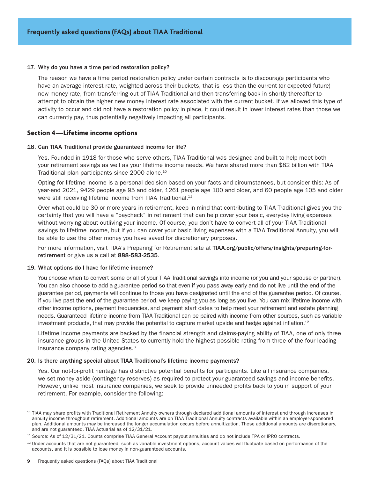#### <span id="page-8-0"></span>17. Why do you have a time period restoration policy?

The reason we have a time period restoration policy under certain contracts is to discourage participants who have an average interest rate, weighted across their buckets, that is less than the current (or expected future) new money rate, from transferring out of TIAA Traditional and then transferring back in shortly thereafter to attempt to obtain the higher new money interest rate associated with the current bucket. If we allowed this type of activity to occur and did not have a restoration policy in place, it could result in lower interest rates than those we can currently pay, thus potentially negatively impacting all participants.

# **Section 4—Lifetime income options**

#### 18. Can TIAA Traditional provide guaranteed income for life?

Yes. Founded in 1918 for those who serve others, TIAA Traditional was designed and built to help meet both your retirement savings as well as your lifetime income needs. We have shared more than \$82 billion with TIAA Traditional plan participants since 2000 alone.10

Opting for lifetime income is a personal decision based on your facts and circumstances, but consider this: As of year-end 2021, 9429 people age 95 and older, 1261 people age 100 and older, and 60 people age 105 and older were still receiving lifetime income from TIAA Traditional.<sup>11</sup>

Over what could be 30 or more years in retirement, keep in mind that contributing to TIAA Traditional gives you the certainty that you will have a "paycheck" in retirement that can help cover your basic, everyday living expenses without worrying about outliving your income. Of course, you don't have to convert all of your TIAA Traditional savings to lifetime income, but if you can cover your basic living expenses with a TIAA Traditional Annuity, you will be able to use the other money you have saved for discretionary purposes.

For more information, visit TIAA's Preparing for Retirement site at [TIAA.org/public/offers/insights/preparing-for](http://TIAA.org/public/offers/insights/preparing-for-retirement)[retirement](http://TIAA.org/public/offers/insights/preparing-for-retirement) or give us a call at 888-583-2535.

#### 19. What options do I have for lifetime income?

You choose when to convert some or all of your TIAA Traditional savings into income (or you and your spouse or partner). You can also choose to add a guarantee period so that even if you pass away early and do not live until the end of the guarantee period, payments will continue to those you have designated until the end of the guarantee period. Of course, if you live past the end of the guarantee period, we keep paying you as long as you live. You can mix lifetime income with other income options, payment frequencies, and payment start dates to help meet your retirement and estate planning needs. Guaranteed lifetime income from TIAA Traditional can be paired with income from other sources, such as variable investment products, that may provide the potential to capture market upside and hedge against inflation.<sup>12</sup>

Lifetime income payments are backed by the financial strength and claims-paying ability of TIAA, one of only three insurance groups in the United States to currently hold the highest possible rating from three of the four leading insurance company rating agencies.<sup>3</sup>

#### 20. Is there anything special about TIAA Traditional's lifetime income payments?

Yes. Our not-for-profit heritage has distinctive potential benefits for participants. Like all insurance companies, we set money aside (contingency reserves) as required to protect your guaranteed savings and income benefits. However, unlike most insurance companies, we seek to provide unneeded profits back to you in support of your retirement. For example, consider the following:

<sup>&</sup>lt;sup>10</sup> TIAA may share profits with Traditional Retirement Annuity owners through declared additional amounts of interest and through increases in annuity income throughout retirement. Additional amounts are on TIAA Traditional Annuity contracts available within an employer-sponsored plan. Additional amounts may be increased the longer accumulation occurs before annuitization. These additional amounts are discretionary, and are not guaranteed. TIAA Actuarial as of 12/31/21.

<sup>&</sup>lt;sup>11</sup> Source: As of 12/31/21. Counts comprise TIAA General Account payout annuities and do not include TPA or IPRO contracts.

 $12$  Under accounts that are not guaranteed, such as variable investment options, account values will fluctuate based on performance of the accounts, and it is possible to lose money in non-guaranteed accounts.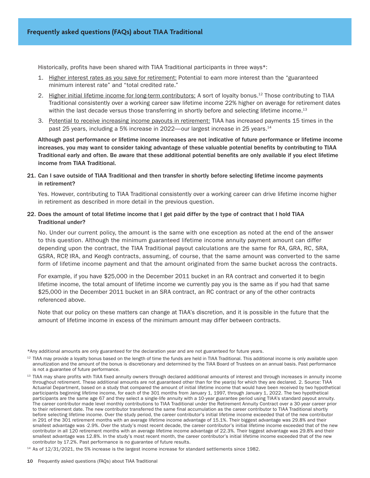Historically, profits have been shared with TIAA Traditional participants in three ways\*:

- 1. Higher interest rates as you save for retirement: Potential to earn more interest than the "guaranteed minimum interest rate" and "total credited rate."
- 2. Higher initial lifetime income for long-term contributors: A sort of loyalty bonus.12 Those contributing to TIAA Traditional consistently over a working career saw lifetime income 22% higher on average for retirement dates within the last decade versus those transferring in shortly before and selecting lifetime income.<sup>13</sup>
- 3. Potential to receive increasing income payouts in retirement: TIAA has increased payments 15 times in the past 25 years, including a 5% increase in 2022—our largest increase in 25 years.<sup>14</sup>

Although past performance or lifetime income increases are not indicative of future performance or lifetime income increases, you may want to consider taking advantage of these valuable potential benefits by contributing to TIAA Traditional early and often. Be aware that these additional potential benefits are only available if you elect lifetime income from TIAA Traditional.

# 21. Can I save outside of TIAA Traditional and then transfer in shortly before selecting lifetime income payments in retirement?

Yes. However, contributing to TIAA Traditional consistently over a working career can drive lifetime income higher in retirement as described in more detail in the previous question.

# 22. Does the amount of total lifetime income that I get paid differ by the type of contract that I hold TIAA Traditional under?

No. Under our current policy, the amount is the same with one exception as noted at the end of the answer to this question. Although the minimum guaranteed lifetime income annuity payment amount can differ depending upon the contract, the TIAA Traditional payout calculations are the same for RA, GRA, RC, SRA, GSRA, RCP, IRA, and Keogh contracts, assuming, of course, that the same amount was converted to the same form of lifetime income payment and that the amount originated from the same bucket across the contracts.

For example, if you have \$25,000 in the December 2011 bucket in an RA contract and converted it to begin lifetime income, the total amount of lifetime income we currently pay you is the same as if you had that same \$25,000 in the December 2011 bucket in an SRA contract, an RC contract or any of the other contracts referenced above.

Note that our policy on these matters can change at TIAA's discretion, and it is possible in the future that the amount of lifetime income in excess of the minimum amount may differ between contracts.

\*Any additional amounts are only guaranteed for the declaration year and are not guaranteed for future years.

 $12$  TIAA may provide a loyalty bonus based on the length of time the funds are held in TIAA Traditional. This additional income is only available upon annuitization and the amount of the bonus is discretionary and determined by the TIAA Board of Trustees on an annual basis. Past performance is not a guarantee of future performance.

<sup>&</sup>lt;sup>13</sup> TIAA may share profits with TIAA fixed annuity owners through declared additional amounts of interest and through increases in annuity income throughout retirement. These additional amounts are not guaranteed other than for the year(s) for which they are declared. 2. Source: TIAA Actuarial Department, based on a study that compared the amount of initial lifetime income that would have been received by two hypothetical participants beginning lifetime income, for each of the 301 months from January 1, 1997, through January 1, 2022. The two hypothetical participants are the same age 67 and they select a single-life annuity with a 10-year guarantee period using TIAA's standard payout annuity. The career contributor made level monthly contributions to TIAA Traditional under the Retirement Annuity Contract over a 30-year career prior to their retirement date. The new contributor transferred the same final accumulation as the career contributor to TIAA Traditional shortly before selecting lifetime income. Over the study period, the career contributor's initial lifetime income exceeded that of the new contributor in 291 of the 301 retirement months with an average lifetime income advantage of 15.1%. Their biggest advantage was 29.8% and their smallest advantage was -2.9%. Over the study's most recent decade, the career contributor's initial lifetime income exceeded that of the new contributor in all 120 retirement months with an average lifetime income advantage of 22.3%. Their biggest advantage was 29.8% and their smallest advantage was 12.8%. In the study's most recent month, the career contributor's initial lifetime income exceeded that of the new contributor by 17.2%. Past performance is no guarantee of future results.

<sup>&</sup>lt;sup>14</sup> As of 12/31/2021, the 5% increase is the largest income increase for standard settlements since 1982.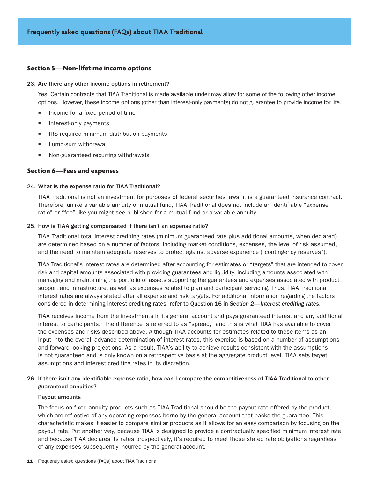# <span id="page-10-0"></span>**Section 5—Non-lifetime income options**

#### 23. Are there any other income options in retirement?

Yes. Certain contracts that TIAA Traditional is made available under may allow for some of the following other income options. However, these income options (other than interest-only payments) do not guarantee to provide income for life.

- Income for a fixed period of time
- $\blacksquare$  Interest-only payments
- IRS required minimum distribution payments
- **Lump-sum withdrawal**
- Non-guaranteed recurring withdrawals

# **Section 6—Fees and expenses**

#### 24. What is the expense ratio for TIAA Traditional?

TIAA Traditional is not an investment for purposes of federal securities laws; it is a guaranteed insurance contract. Therefore, unlike a variable annuity or mutual fund, TIAA Traditional does not include an identifiable "expense ratio" or "fee" like you might see published for a mutual fund or a variable annuity.

#### 25. How is TIAA getting compensated if there isn't an expense ratio?

TIAA Traditional total interest crediting rates (minimum guaranteed rate plus additional amounts, when declared) are determined based on a number of factors, including market conditions, expenses, the level of risk assumed, and the need to maintain adequate reserves to protect against adverse experience ("contingency reserves").

TIAA Traditional's interest rates are determined after accounting for estimates or "targets" that are intended to cover risk and capital amounts associated with providing guarantees and liquidity, including amounts associated with managing and maintaining the portfolio of assets supporting the guarantees and expenses associated with product support and infrastructure, as well as expenses related to plan and participant servicing. Thus, TIAA Traditional interest rates are always stated after all expense and risk targets. For additional information regarding the factors considered in determining interest crediting rates, refer to Question 16 in *Section 2—Interest crediting rates*.

TIAA receives income from the investments in its general account and pays guaranteed interest and any additional interest to participants.<sup>2</sup> The difference is referred to as "spread," and this is what TIAA has available to cover the expenses and risks described above. Although TIAA accounts for estimates related to these items as an input into the overall advance determination of interest rates, this exercise is based on a number of assumptions and forward-looking projections. As a result, TIAA's ability to achieve results consistent with the assumptions is not guaranteed and is only known on a retrospective basis at the aggregate product level. TIAA sets target assumptions and interest crediting rates in its discretion.

# 26. If there isn't any identifiable expense ratio, how can I compare the competitiveness of TIAA Traditional to other guaranteed annuities?

#### Payout amounts

The focus on fixed annuity products such as TIAA Traditional should be the payout rate offered by the product, which are reflective of any operating expenses borne by the general account that backs the guarantee. This characteristic makes it easier to compare similar products as it allows for an easy comparison by focusing on the payout rate. Put another way, because TIAA is designed to provide a contractually specified minimum interest rate and because TIAA declares its rates prospectively, it's required to meet those stated rate obligations regardless of any expenses subsequently incurred by the general account.